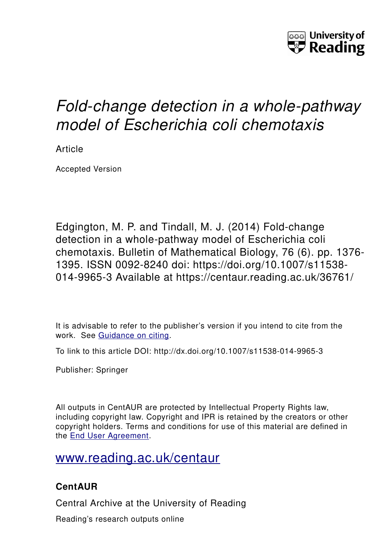

# *Fold-change detection in a whole-pathway model of Escherichia coli chemotaxis*

Article

Accepted Version

Edgington, M. P. and Tindall, M. J. (2014) Fold-change detection in a whole-pathway model of Escherichia coli chemotaxis. Bulletin of Mathematical Biology, 76 (6). pp. 1376- 1395. ISSN 0092-8240 doi: https://doi.org/10.1007/s11538- 014-9965-3 Available at https://centaur.reading.ac.uk/36761/

It is advisable to refer to the publisher's version if you intend to cite from the work. See [Guidance on citing.](http://centaur.reading.ac.uk/71187/10/CentAUR%20citing%20guide.pdf)

To link to this article DOI: http://dx.doi.org/10.1007/s11538-014-9965-3

Publisher: Springer

All outputs in CentAUR are protected by Intellectual Property Rights law, including copyright law. Copyright and IPR is retained by the creators or other copyright holders. Terms and conditions for use of this material are defined in the [End User Agreement.](http://centaur.reading.ac.uk/licence)

# [www.reading.ac.uk/centaur](http://www.reading.ac.uk/centaur)

# **CentAUR**

Central Archive at the University of Reading

Reading's research outputs online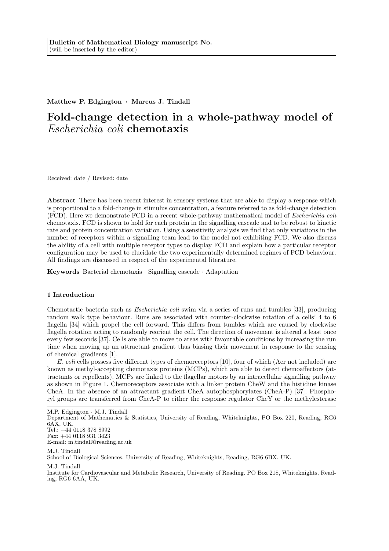#### Matthew P. Edgington · Marcus J. Tindall

## Fold-change detection in a whole-pathway model of Escherichia coli chemotaxis

Received: date / Revised: date

Abstract There has been recent interest in sensory systems that are able to display a response which is proportional to a fold-change in stimulus concentration, a feature referred to as fold-change detection (FCD). Here we demonstrate FCD in a recent whole-pathway mathematical model of Escherichia coli chemotaxis. FCD is shown to hold for each protein in the signalling cascade and to be robust to kinetic rate and protein concentration variation. Using a sensitivity analysis we find that only variations in the number of receptors within a signalling team lead to the model not exhibiting FCD. We also discuss the ability of a cell with multiple receptor types to display FCD and explain how a particular receptor configuration may be used to elucidate the two experimentally determined regimes of FCD behaviour. All findings are discussed in respect of the experimental literature.

Keywords Bacterial chemotaxis · Signalling cascade · Adaptation

#### 1 Introduction

Chemotactic bacteria such as Escherichia coli swim via a series of runs and tumbles [33], producing random walk type behaviour. Runs are associated with counter-clockwise rotation of a cells' 4 to 6 flagella [34] which propel the cell forward. This differs from tumbles which are caused by clockwise flagella rotation acting to randomly reorient the cell. The direction of movement is altered a least once every few seconds [37]. Cells are able to move to areas with favourable conditions by increasing the run time when moving up an attractant gradient thus biasing their movement in response to the sensing of chemical gradients [1].

E. coli cells possess five different types of chemoreceptors [10], four of which (Aer not included) are known as methyl-accepting chemotaxis proteins (MCPs), which are able to detect chemoaffectors (attractants or repellents). MCPs are linked to the flagellar motors by an intracellular signalling pathway as shown in Figure 1. Chemoreceptors associate with a linker protein CheW and the histidine kinase CheA. In the absence of an attractant gradient CheA autophosphorylates (CheA-P) [37]. Phosphoryl groups are transferred from CheA-P to either the response regulator CheY or the methylesterase

M.P. Edgington · M.J. Tindall

Department of Mathematics & Statistics, University of Reading, Whiteknights, PO Box 220, Reading, RG6 6AX, UK. Tel.: +44 0118 378 8992

E-mail: m.tindall@reading.ac.uk

M.J. Tindall School of Biological Sciences, University of Reading, Whiteknights, Reading, RG6 6BX, UK.

M.J. Tindall

Institute for Cardiovascular and Metabolic Research, University of Reading. PO Box 218, Whiteknights, Reading, RG6 6AA, UK.

Fax: +44 0118 931 3423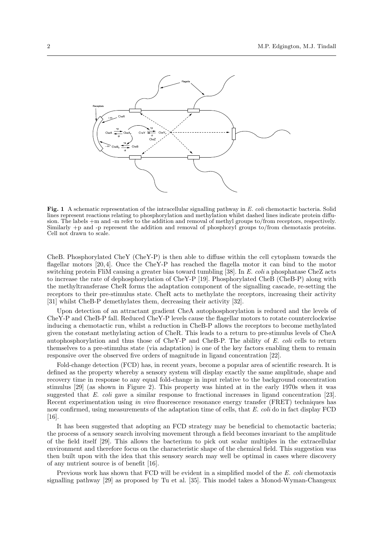

Fig. 1 A schematic representation of the intracellular signalling pathway in E. coli chemotactic bacteria. Solid lines represent reactions relating to phosphorylation and methylation whilst dashed lines indicate protein diffusion. The labels +m and -m refer to the addition and removal of methyl groups to/from receptors, respectively. Similarly +p and -p represent the addition and removal of phosphoryl groups to/from chemotaxis proteins. Cell not drawn to scale.

CheB. Phosphorylated CheY (CheY-P) is then able to diffuse within the cell cytoplasm towards the flagellar motors [20, 4]. Once the CheY-P has reached the flagella motor it can bind to the motor switching protein FliM causing a greater bias toward tumbling [38]. In E. coli a phosphatase CheZ acts to increase the rate of dephosphorylation of CheY-P [19]. Phosphorylated CheB (CheB-P) along with the methyltransferase CheR forms the adaptation component of the signalling cascade, re-setting the receptors to their pre-stimulus state. CheR acts to methylate the receptors, increasing their activity [31] whilst CheB-P demethylates them, decreasing their activity [32].

Upon detection of an attractant gradient CheA autophosphorylation is reduced and the levels of CheY-P and CheB-P fall. Reduced CheY-P levels cause the flagellar motors to rotate counterclockwise inducing a chemotactic run, whilst a reduction in CheB-P allows the receptors to become methylated given the constant methylating action of CheR. This leads to a return to pre-stimulus levels of CheA autophosphorylation and thus those of CheY-P and CheB-P. The ability of E. coli cells to return themselves to a pre-stimulus state (via adaptation) is one of the key factors enabling them to remain responsive over the observed five orders of magnitude in ligand concentration [22].

Fold-change detection (FCD) has, in recent years, become a popular area of scientific research. It is defined as the property whereby a sensory system will display exactly the same amplitude, shape and recovery time in response to any equal fold-change in input relative to the background concentration stimulus [29] (as shown in Figure 2). This property was hinted at in the early 1970s when it was suggested that E. coli gave a similar response to fractional increases in ligand concentration [23]. Recent experimentation using *in vivo* fluorescence resonance energy transfer (FRET) techniques has now confirmed, using measurements of the adaptation time of cells, that E. coli do in fact display FCD [16].

It has been suggested that adopting an FCD strategy may be beneficial to chemotactic bacteria; the process of a sensory search involving movement through a field becomes invariant to the amplitude of the field itself [29]. This allows the bacterium to pick out scalar multiples in the extracellular environment and therefore focus on the characteristic shape of the chemical field. This suggestion was then built upon with the idea that this sensory search may well be optimal in cases where discovery of any nutrient source is of benefit [16].

Previous work has shown that FCD will be evident in a simplified model of the E. coli chemotaxis signalling pathway [29] as proposed by Tu et al. [35]. This model takes a Monod-Wyman-Changeux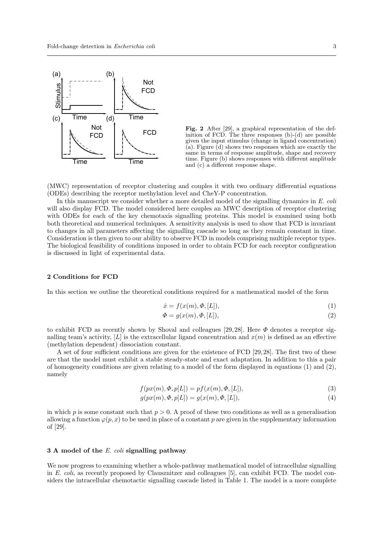

Fig. 2 After [29], a graphical representation of the definition of FCD. The three responses (b)-(d) are possible given the input stimulus (change in ligand concentration)  $(a)$ . Figure  $(d)$  shows two responses which are exactly the same in terms of response amplitude, shape and recovery time. Figure (b) shows responses with different amplitude and (c) a different response shape.

(MWC) representation of receptor clustering and couples it with two ordinary differential equations (ODEs) describing the receptor methylation level and CheY-P concentration.

In this manuscript we consider whether a more detailed model of the signalling dynamics in  $E.$  coli will also display FCD. The model considered here couples an MWC description of receptor clustering with ODEs for each of the key chemotaxis signalling proteins. This model is examined using both both theoretical and numerical techniques. A sensitivity analysis is used to show that FCD is invariant to changes in all parameters affecting the signalling cascade so long as they remain constant in time. Consideration is then given to our ability to observe FCD in models comprising multiple receptor types. The biological feasibility of conditions imposed in order to obtain FCD for each receptor configuration is discussed in light of experimental data.

#### 2 Conditions for FCD

In this section we outline the theoretical conditions required for a mathematical model of the form

$$
\dot{x} = f(x(m), \Phi, [L]),\tag{1}
$$

$$
\Phi = g(x(m), \Phi, [L]),\tag{2}
$$

to exhibit FCD as recently shown by Shoval and colleagues [29, 28]. Here  $\Phi$  denotes a receptor signalling team's activity, [L] is the extracellular ligand concentration and  $x(m)$  is defined as an effective (methylation dependent) dissociation constant.

A set of four sufficient conditions are given for the existence of FCD [29, 28]. The first two of these are that the model must exhibit a stable steady-state and exact adaptation. In addition to this a pair of homogeneity conditions are given relating to a model of the form displayed in equations  $(1)$  and  $(2)$ , namely

$$
f(px(m), \Phi, p[L]) = pf(x(m), \Phi, [L]), \qquad (3)
$$

$$
g(px(m), \Phi, p[L]) = g(x(m), \Phi, [L]),
$$
\n(4)

in which p is some constant such that  $p > 0$ . A proof of these two conditions as well as a generalisation allowing a function  $\varphi(p, x)$  to be used in place of a constant p are given in the supplementary information of [29].

#### 3 A model of the E. coli signalling pathway

We now progress to examining whether a whole-pathway mathematical model of intracellular signalling in E. coli, as recently proposed by Clausznitzer and colleagues [5], can exhibit FCD. The model considers the intracellular chemotactic signalling cascade listed in Table 1. The model is a more complete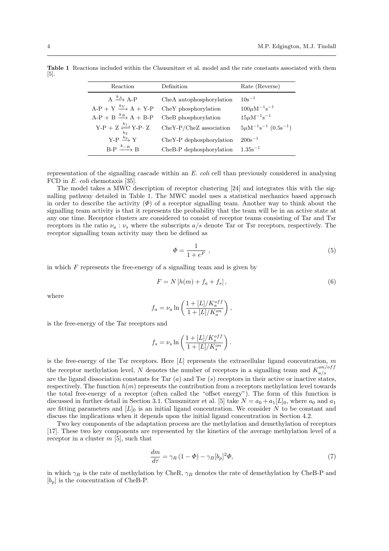| Reaction                                                         | Definition                                       | Rate (Reverse)                        |
|------------------------------------------------------------------|--------------------------------------------------|---------------------------------------|
| $A \xrightarrow{k_A} A-P$<br>$A-P + Y \xrightarrow{k_Y} A + Y-P$ | CheA autophosphorylation<br>CheY phosphorylation | $10s^{-1}$<br>$100 \mu M^{-1} s^{-1}$ |
| $A-P + B \xrightarrow{k_B} A + B-P$                              | CheB phosphorylation                             | $15 \mu M^{-1} s^{-1}$                |
| Y-P + Z $\frac{k_1}{k_2}$ Y-P· Z                                 | $CheY-P/CheZ$ association                        | $5 \mu M^{-1} s^{-1}$ $(0.5 s^{-1})$  |
| $Y-P \stackrel{k_3}{\longrightarrow} Y$                          | CheY-P dephosphorylation                         | $200s^{-1}$                           |
| $B-P \xrightarrow{k-B} B$                                        | CheB-P dephosphorylation                         | $1.35s^{-1}$                          |

Table 1 Reactions included within the Clausznitzer et al. model and the rate constants associated with them [5].

representation of the signalling cascade within an E. coli cell than previously considered in analysing FCD in E. coli chemotaxis [35].

The model takes a MWC description of receptor clustering [24] and integrates this with the signalling pathway detailed in Table 1. The MWC model uses a statistical mechanics based approach in order to describe the activity  $(\Phi)$  of a receptor signalling team. Another way to think about the signalling team activity is that it represents the probability that the team will be in an active state at any one time. Receptor clusters are considered to consist of receptor teams consisting of Tar and Tsr receptors in the ratio  $\nu_a : \nu_s$  where the subscripts  $a/s$  denote Tar or Tsr receptors, respectively. The receptor signalling team activity may then be defined as

$$
\Phi = \frac{1}{1 + e^F} \tag{5}
$$

in which  $F$  represents the free-energy of a signalling team and is given by

$$
F = N\left[h(m) + f_a + f_s\right],\tag{6}
$$

where

$$
f_a = \nu_a \ln\left(\frac{1 + [L]/K_a^{off}}{1 + [L]/K_a^{on}}\right),\,
$$

is the free-energy of the Tar receptors and

$$
f_s = \nu_s \ln\left(\frac{1 + [L]/K_s^{off}}{1 + [L]/K_s^{on}}\right).
$$

is the free-energy of the Tsr receptors. Here  $[L]$  represents the extracellular ligand concentration, m the receptor methylation level, N denotes the number of receptors in a signalling team and  $K_{a/s}^{on/off}$ a/s are the ligand dissociation constants for Tar  $(a)$  and Tsr  $(s)$  receptors in their active or inactive states, respectively. The function  $h(m)$  represents the contribution from a receptors methylation level towards the total free-energy of a receptor (often called the "offset energy"). The form of this function is discussed in further detail in Section 3.1. Clausznitzer et al. [5] take  $N = a_0 + a_1[L]_0$ , where  $a_0$  and  $a_1$ are fitting parameters and  $[L]_0$  is an initial ligand concentration. We consider N to be constant and discuss the implications when it depends upon the initial ligand concentration in Section 4.2.

Two key components of the adaptation process are the methylation and demethylation of receptors [17]. These two key components are represented by the kinetics of the average methylation level of a receptor in a cluster  $m$  [5], such that

$$
\frac{dm}{d\tau} = \gamma_R (1 - \Phi) - \gamma_B [b_p]^2 \Phi,
$$
\n(7)

in which  $\gamma_R$  is the rate of methylation by CheR,  $\gamma_B$  denotes the rate of demethylation by CheB-P and  $[b_p]$  is the concentration of CheB-P.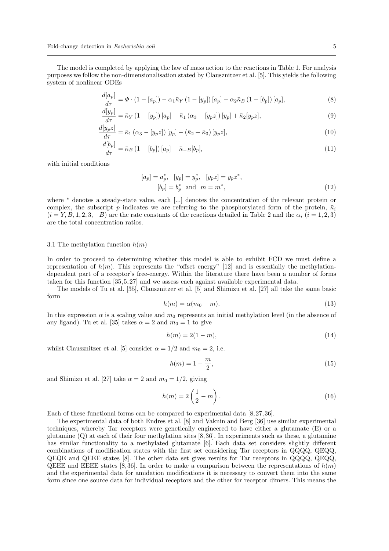The model is completed by applying the law of mass action to the reactions in Table 1. For analysis purposes we follow the non-dimensionalisation stated by Clausznitzer et al. [5]. This yields the following system of nonlinear ODEs

$$
\frac{d[a_p]}{d\tau} = \Phi \cdot (1 - [a_p]) - \alpha_1 \bar{\kappa}_Y (1 - [y_p]) [a_p] - \alpha_2 \bar{\kappa}_B (1 - [b_p]) [a_p],
$$
\n
$$
d[y_p] = (1 - [b_p]) [a_p] - \alpha_1 \bar{\kappa}_Y (1 - [y_p]) [a_p] - \alpha_2 \bar{\kappa}_B (1 - [b_p]) [a_p],
$$
\n(8)

$$
\frac{d[y_p]}{d\tau} = \bar{\kappa}_Y \left(1 - [y_p]\right) [a_p] - \bar{\kappa}_1 \left(\alpha_3 - [y_p z]\right) [y_p] + \bar{\kappa}_2 [y_p z],\tag{9}
$$
\n
$$
d[y_p z] = \bar{\kappa}_1 \left(\alpha - [y_q z]\right) [y_p] - \bar{\kappa}_1 \left(\bar{\kappa}_1 + \bar{\kappa}_2\right) [y_p z],\tag{10}
$$

$$
\frac{d\omega[yp\omega]}{d\tau} = \bar{\kappa}_1 \left( \alpha_3 - [y_p z] \right) [y_p] - (\bar{\kappa}_2 + \bar{\kappa}_3) [y_p z],\tag{10}
$$

$$
\frac{d[b_p]}{d\tau} = \bar{\kappa}_B \left( 1 - [b_p] \right) [a_p] - \bar{\kappa}_{-B} [b_p],\tag{11}
$$

with initial conditions

$$
[a_p] = a_p^*, \quad [y_p] = y_p^*, \quad [y_p z] = y_p z^*,
$$
  

$$
[b_p] = b_p^* \quad \text{and} \quad m = m^*,
$$
 (12)

where <sup>∗</sup> denotes a steady-state value, each [...] denotes the concentration of the relevant protein or complex, the subscript p indicates we are referring to the phosphorylated form of the protein,  $\bar{\kappa}_i$  $(i = Y, B, 1, 2, 3, -B)$  are the rate constants of the reactions detailed in Table 2 and the  $\alpha_i$   $(i = 1, 2, 3)$ are the total concentration ratios.

#### 3.1 The methylation function  $h(m)$

In order to proceed to determining whether this model is able to exhibit FCD we must define a representation of  $h(m)$ . This represents the "offset energy" [12] and is essentially the methylationdependent part of a receptor's free-energy. Within the literature there have been a number of forms taken for this function [35, 5, 27] and we assess each against available experimental data.

The models of Tu et al. [35], Clausznitzer et al. [5] and Shimizu et al. [27] all take the same basic form

$$
h(m) = \alpha(m_0 - m). \tag{13}
$$

In this expression  $\alpha$  is a scaling value and  $m_0$  represents an initial methylation level (in the absence of any ligand). Tu et al. [35] takes  $\alpha = 2$  and  $m_0 = 1$  to give

$$
h(m) = 2(1 - m),
$$
\n(14)

whilst Clausznitzer et al. [5] consider  $\alpha = 1/2$  and  $m_0 = 2$ , i.e.

$$
h(m) = 1 - \frac{m}{2},
$$
\n(15)

and Shimizu et al. [27] take  $\alpha = 2$  and  $m_0 = 1/2$ , giving

$$
h(m) = 2\left(\frac{1}{2} - m\right). \tag{16}
$$

Each of these functional forms can be compared to experimental data [8, 27, 36].

The experimental data of both Endres et al. [8] and Vaknin and Berg [36] use similar experimental techniques, whereby Tar receptors were genetically engineered to have either a glutamate (E) or a glutamine (Q) at each of their four methylation sites [8, 36]. In experiments such as these, a glutamine has similar functionality to a methylated glutamate [6]. Each data set considers slightly different combinations of modification states with the first set considering Tar receptors in QQQQ, QEQQ, QEQE and QEEE states [8]. The other data set gives results for Tar receptors in QQQQ, QEQQ, QEEE and EEEE states [8,36]. In order to make a comparison between the representations of  $h(m)$ and the experimental data for amidation modifications it is necessary to convert them into the same form since one source data for individual receptors and the other for receptor dimers. This means the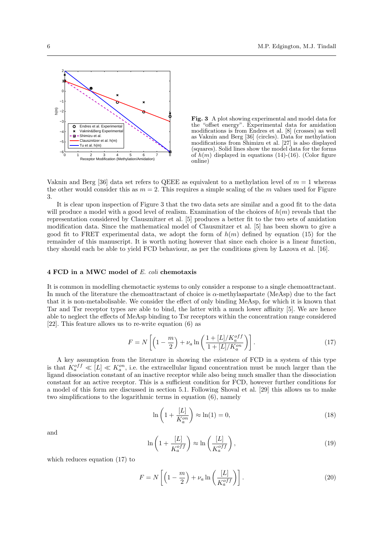

Fig. 3 A plot showing experimental and model data for the "offset energy". Experimental data for amidation "offset energy". Experimental data for amidation modifications is from Endres et al. [8] (crosses) as well as Vaknin and Berg [36] (circles). Data for methylation modifications from Shimizu et al. [27] is also displayed (squares). Solid lines show the model data for the forms of  $h(m)$  displayed in equations (14)-(16). (Color figure online)

Vaknin and Berg [36] data set refers to QEEE as equivalent to a methylation level of  $m = 1$  whereas the other would consider this as  $m = 2$ . This requires a simple scaling of the m values used for Figure 3.

It is clear upon inspection of Figure 3 that the two data sets are similar and a good fit to the data will produce a model with a good level of realism. Examination of the choices of  $h(m)$  reveals that the representation considered by Clausznitzer et al. [5] produces a better fit to the two sets of amidation modification data. Since the mathematical model of Clausznitzer et al. [5] has been shown to give a good fit to FRET experimental data, we adopt the form of  $h(m)$  defined by equation (15) for the remainder of this manuscript. It is worth noting however that since each choice is a linear function, they should each be able to yield FCD behaviour, as per the conditions given by Lazova et al. [16].

#### 4 FCD in a MWC model of E. coli chemotaxis

It is common in modelling chemotactic systems to only consider a response to a single chemoattractant. In much of the literature the chemoattractant of choice is α-methylaspartate (MeAsp) due to the fact that it is non-metabolisable. We consider the effect of only binding MeAsp, for which it is known that Tar and Tsr receptor types are able to bind, the latter with a much lower affinity [5]. We are hence able to neglect the effects of MeAsp binding to Tsr receptors within the concentration range considered [22]. This feature allows us to re-write equation (6) as

$$
F = N\left[\left(1 - \frac{m}{2}\right) + \nu_a \ln\left(\frac{1 + [L]/K_a^{off}}{1 + [L]/K_a^{on}}\right)\right].\tag{17}
$$

A key assumption from the literature in showing the existence of FCD in a system of this type is that  $K_a^{off} \ll [L] \ll K_a^{on}$ , i.e. the extracellular ligand concentration must be much larger than the ligand dissociation constant of an inactive receptor while also being much smaller than the dissociation constant for an active receptor. This is a sufficient condition for FCD, however further conditions for a model of this form are discussed in section 5.1. Following Shoval et al. [29] this allows us to make two simplifications to the logarithmic terms in equation (6), namely

$$
\ln\left(1+\frac{[L]}{K_a^{on}}\right) \approx \ln(1) = 0,\tag{18}
$$

and

$$
\ln\left(1+\frac{[L]}{K_a^{off}}\right) \approx \ln\left(\frac{[L]}{K_a^{off}}\right),\tag{19}
$$

which reduces equation (17) to

$$
F = N\left[\left(1 - \frac{m}{2}\right) + \nu_a \ln\left(\frac{[L]}{K_a^{off}}\right)\right].\tag{20}
$$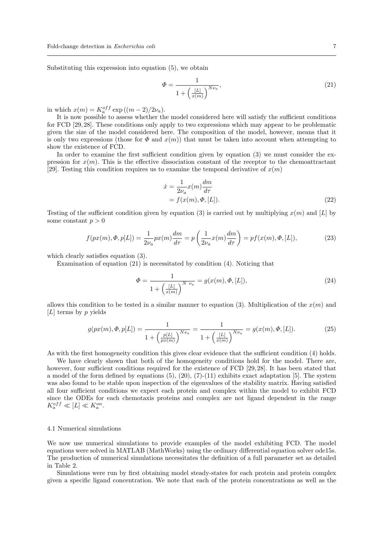Substituting this expression into equation (5), we obtain

$$
\Phi = \frac{1}{1 + \left(\frac{[L]}{x(m)}\right)^{N\nu_a}},\tag{21}
$$

in which  $x(m) = K_a^{off} \exp((m-2)/2\nu_a)$ .

It is now possible to assess whether the model considered here will satisfy the sufficient conditions for FCD [29, 28]. These conditions only apply to two expressions which may appear to be problematic given the size of the model considered here. The composition of the model, however, means that it is only two expressions (those for  $\Phi$  and  $x(m)$ ) that must be taken into account when attempting to show the existence of FCD.

In order to examine the first sufficient condition given by equation (3) we must consider the expression for  $x(m)$ . This is the effective dissociation constant of the receptor to the chemoattractant [29]. Testing this condition requires us to examine the temporal derivative of  $x(m)$ 

$$
\begin{aligned} \dot{x} &= \frac{1}{2\nu_a} x(m) \frac{dm}{d\tau} \\ &= f(x(m), \Phi, [L]). \end{aligned} \tag{22}
$$

Testing of the sufficient condition given by equation (3) is carried out by multiplying  $x(m)$  and [L] by some constant  $p > 0$ 

$$
f(px(m), \Phi, p[L]) = \frac{1}{2\nu_a} px(m)\frac{dm}{d\tau} = p\left(\frac{1}{2\nu_a}x(m)\frac{dm}{d\tau}\right) = pf(x(m), \Phi, [L]),\tag{23}
$$

which clearly satisfies equation (3).

Examination of equation (21) is necessitated by condition (4). Noticing that

$$
\Phi = \frac{1}{1 + \left(\frac{[L]}{x(m)}\right)^{N \ \nu_a}} = g(x(m), \Phi, [L]),\tag{24}
$$

allows this condition to be tested in a similar manner to equation (3). Multiplication of the  $x(m)$  and [ $L$ ] terms by p yields

$$
g(px(m), \Phi, p[L]) = \frac{1}{1 + \left(\frac{p[L]}{px(m)}\right)^{N\nu_a}} = \frac{1}{1 + \left(\frac{[L]}{x(m)}\right)^{N\nu_a}} = g(x(m), \Phi, [L]).
$$
\n(25)

As with the first homogeneity condition this gives clear evidence that the sufficient condition (4) holds.

We have clearly shown that both of the homogeneity conditions hold for the model. There are, however, four sufficient conditions required for the existence of FCD [29, 28]. It has been stated that a model of the form defined by equations  $(5)$ ,  $(20)$ ,  $(7)$ - $(11)$  exhibits exact adaptation [5]. The system was also found to be stable upon inspection of the eigenvalues of the stability matrix. Having satisfied all four sufficient conditions we expect each protein and complex within the model to exhibit FCD since the ODEs for each chemotaxis proteins and complex are not ligand dependent in the range  $K_a^{off} \ll [L] \ll K_a^{on}.$ 

#### 4.1 Numerical simulations

We now use numerical simulations to provide examples of the model exhibiting FCD. The model equations were solved in MATLAB (MathWorks) using the ordinary differential equation solver ode15s. The production of numerical simulations necessitates the definition of a full parameter set as detailed in Table 2.

Simulations were run by first obtaining model steady-states for each protein and protein complex given a specific ligand concentration. We note that each of the protein concentrations as well as the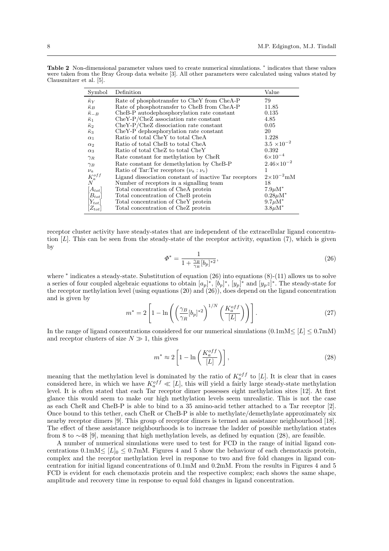| Symbol                      | Definition                                             | Value                 |
|-----------------------------|--------------------------------------------------------|-----------------------|
| $\bar{\kappa}_Y$            | Rate of phosphotransfer to CheY from CheA-P            | 79                    |
| $\bar{\kappa}_B$            | Rate of phosphotransfer to CheB from CheA-P            | 11.85                 |
| $\bar{\kappa}_{-B}$         | CheB-P autodephosphorylation rate constant             | 0.135                 |
| $\bar{\kappa}_1$            | $CheY-P/CheZ$ association rate constant                | 4.85                  |
| $\bar{\kappa}_2$            | CheY-P/CheZ dissociation rate constant                 | 0.05                  |
| $\bar{\kappa}_3$            | CheY-P dephosphorylation rate constant                 | 20                    |
| $\alpha_1$                  | Ratio of total CheY to total CheA                      | 1.228                 |
| $\alpha_2$                  | Ratio of total CheB to total CheA                      | $3.5 \times 10^{-2}$  |
| $\alpha_3$                  | Ratio of total CheZ to total CheY                      | 0.392                 |
| $\gamma_R$                  | Rate constant for methylation by CheR                  | $6\times10^{-4}$      |
| $\gamma_B$                  | Rate constant for demethylation by CheB-P              | $2.46 \times 10^{-2}$ |
| $\nu_a$                     | Ratio of Tar: Tsr receptors $(\nu_a : \nu_s)$          | 1                     |
| $\substack{K_a^{off} \\ N}$ | Ligand dissociation constant of inactive Tar receptors | $2\times10^{-2}$ mM   |
|                             | Number of receptors in a signalling team               | 18                    |
| $[A_{tot}]$                 | Total concentration of CheA protein                    | $7.9\mu\text{M}^*$    |
| $B_{tot}$                   | Total concentration of CheB protein                    | $0.28 \mu M^*$        |
| $ Y_{tot} $                 | Total concentration of CheY protein                    | $9.7\mu\mathrm{M}^*$  |
| $ Z_{tot} $                 | Total concentration of CheZ protein                    | $3.8\mu\mathrm{M}^*$  |

Table 2 Non-dimensional parameter values used to create numerical simulations. <sup>\*</sup> indicates that these values were taken from the Bray Group data website [3]. All other parameters were calculated using values stated by Clausznitzer et al. [5].

receptor cluster activity have steady-states that are independent of the extracellular ligand concentration  $[L]$ . This can be seen from the steady-state of the receptor activity, equation (7), which is given by

$$
\Phi^* = \frac{1}{1 + \frac{\gamma_B}{\gamma_R} [b_p]^{*2}},\tag{26}
$$

where <sup>\*</sup> indicates a steady-state. Substitution of equation (26) into equations (8)-(11) allows us to solve a series of four coupled algebraic equations to obtain  $[a_p]^*, [b_p]^*, [y_p]^*$  and  $[y_p^2z]^*$ . The steady-state for the receptor methylation level (using equations (20) and (26)), does depend on the ligand concentration and is given by

$$
m^* = 2\left[1 - \ln\left(\left(\frac{\gamma_B}{\gamma_R} [b_p]^{*2}\right)^{1/N} \left(\frac{K_a^{off}}{[L]}\right)\right)\right].
$$
 (27)

In the range of ligand concentrations considered for our numerical simulations  $(0.1 \text{mJ} \leq L) \leq 0.7 \text{mJ}$ and receptor clusters of size  $N \gg 1$ , this gives

$$
m^* \approx 2\left[1 - \ln\left(\frac{K_a^{off}}{[L]}\right)\right],\tag{28}
$$

meaning that the methylation level is dominated by the ratio of  $K_a^{off}$  to [L]. It is clear that in cases considered here, in which we have  $K_a^{off} \ll [L]$ , this will yield a fairly large steady-state methylation level. It is often stated that each Tar receptor dimer possesses eight methylation sites [12]. At first glance this would seem to make our high methylation levels seem unrealistic. This is not the case as each CheR and CheB-P is able to bind to a 35 amino-acid tether attached to a Tar receptor [2]. Once bound to this tether, each CheR or CheB-P is able to methylate/demethylate approximately six nearby receptor dimers [9]. This group of receptor dimers is termed an assistance neighbourhood [18]. The effect of these assistance neighbourhoods is to increase the ladder of possible methylation states from 8 to ∼48 [9], meaning that high methylation levels, as defined by equation (28), are feasible.

A number of numerical simulations were used to test for FCD in the range of initial ligand concentrations  $0.1 \text{mM} \leq [L]_0 \leq 0.7 \text{mM}$ . Figures 4 and 5 show the behaviour of each chemotaxis protein, complex and the receptor methylation level in response to two and five fold changes in ligand concentration for initial ligand concentrations of 0.1mM and 0.2mM. From the results in Figures 4 and 5 FCD is evident for each chemotaxis protein and the respective complex; each shows the same shape, amplitude and recovery time in response to equal fold changes in ligand concentration.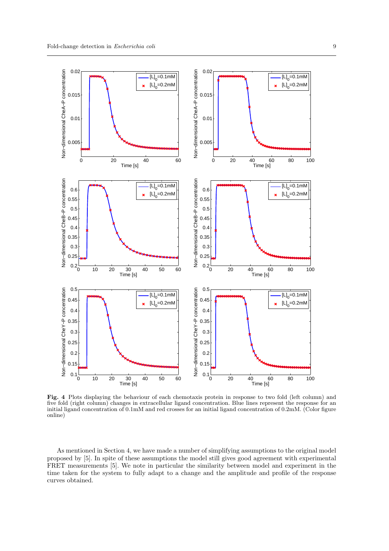

Fig. 4 Plots displaying the behaviour of each chemotaxis protein in response to two fold (left column) and five fold (right column) changes in extracellular ligand concentration. Blue lines represent the response for an initial ligand concentration of 0.1mM and red crosses for an initial ligand concentration of 0.2mM. (Color figure online)

As mentioned in Section 4, we have made a number of simplifying assumptions to the original model proposed by [5]. In spite of these assumptions the model still gives good agreement with experimental FRET measurements [5]. We note in particular the similarity between model and experiment in the time taken for the system to fully adapt to a change and the amplitude and profile of the response curves obtained.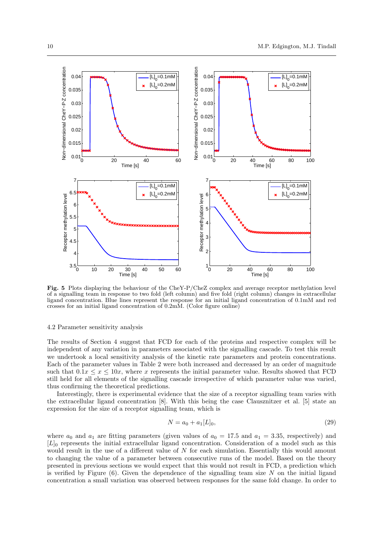

Fig. 5 Plots displaying the behaviour of the CheY-P/CheZ complex and average receptor methylation level of a signalling team in response to two fold (left column) and five fold (right column) changes in extracellular ligand concentration. Blue lines represent the response for an initial ligand concentration of 0.1mM and red crosses for an initial ligand concentration of 0.2mM. (Color figure online)

#### 4.2 Parameter sensitivity analysis

The results of Section 4 suggest that FCD for each of the proteins and respective complex will be independent of any variation in parameters associated with the signalling cascade. To test this result we undertook a local sensitivity analysis of the kinetic rate parameters and protein concentrations. Each of the parameter values in Table 2 were both increased and decreased by an order of magnitude such that  $0.1x \le x \le 10x$ , where x represents the initial parameter value. Results showed that FCD still held for all elements of the signalling cascade irrespective of which parameter value was varied, thus confirming the theoretical predictions.

Interestingly, there is experimental evidence that the size of a receptor signalling team varies with the extracellular ligand concentration [8]. With this being the case Clausznitzer et al. [5] state an expression for the size of a receptor signalling team, which is

$$
N = a_0 + a_1[L]_0,\t\t(29)
$$

where  $a_0$  and  $a_1$  are fitting parameters (given values of  $a_0 = 17.5$  and  $a_1 = 3.35$ , respectively) and  $[L]_0$  represents the initial extracellular ligand concentration. Consideration of a model such as this would result in the use of a different value of  $N$  for each simulation. Essentially this would amount to changing the value of a parameter between consecutive runs of the model. Based on the theory presented in previous sections we would expect that this would not result in FCD, a prediction which is verified by Figure  $(6)$ . Given the dependence of the signalling team size N on the initial ligand concentration a small variation was observed between responses for the same fold change. In order to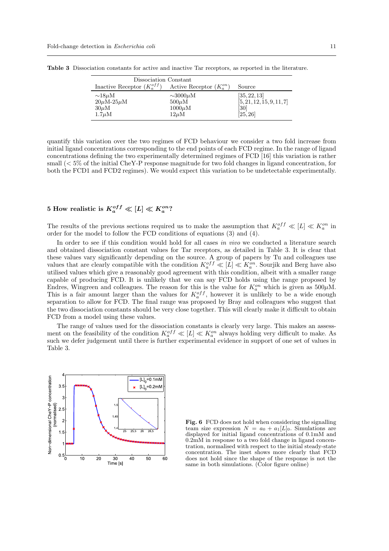| Dissociation Constant                                                                          |                                                                             |                                                               |  |  |
|------------------------------------------------------------------------------------------------|-----------------------------------------------------------------------------|---------------------------------------------------------------|--|--|
| Inactive Receptor $(K_a^{off})$                                                                | Active Receptor $(K_a^{on})$                                                | Source                                                        |  |  |
| $\sim$ 18 $\mu$ M<br>$20\mu\mathrm{M}$ -25 $\mu\mathrm{M}$<br>$30\mu\mathrm{M}$<br>$1.7 \mu M$ | $\sim 3000 \mu M$<br>$500\mu\mathrm{M}$<br>$1000\mu\mathrm{M}$<br>$12\mu$ M | [35, 22, 13]<br>[5, 21, 12, 15, 9, 11, 7]<br>[30]<br>[25, 26] |  |  |

Table 3 Dissociation constants for active and inactive Tar receptors, as reported in the literature.

quantify this variation over the two regimes of FCD behaviour we consider a two fold increase from initial ligand concentrations corresponding to the end points of each FCD regime. In the range of ligand concentrations defining the two experimentally determined regimes of FCD [16] this variation is rather small (< 5% of the initial CheY-P response magnitude for two fold changes in ligand concentration, for both the FCD1 and FCD2 regimes). We would expect this variation to be undetectable experimentally.

### $5 \; \textrm{How realistic is} \; K_a^{off} \ll [L] \ll K_a^{on} ?$

The results of the previous sections required us to make the assumption that  $K_a^{off} \ll [L] \ll K_a^{on}$  in order for the model to follow the FCD conditions of equations (3) and (4).

In order to see if this condition would hold for all cases in vivo we conducted a literature search and obtained dissociation constant values for Tar receptors, as detailed in Table 3. It is clear that these values vary significantly depending on the source. A group of papers by Tu and colleagues use values that are clearly compatible with the condition  $K_a^{off} \ll [L] \ll K_a^{on}$ . Sourjik and Berg have also utilised values which give a reasonably good agreement with this condition, albeit with a smaller range capable of producing FCD. It is unlikely that we can say FCD holds using the range proposed by Endres, Wingreen and colleagues. The reason for this is the value for  $K_a^{on}$  which is given as  $500\mu$ M. This is a fair amount larger than the values for  $K_a^{off}$ , however it is unlikely to be a wide enough separation to allow for FCD. The final range was proposed by Bray and colleagues who suggest that the two dissociation constants should be very close together. This will clearly make it difficult to obtain FCD from a model using these values.

The range of values used for the dissociation constants is clearly very large. This makes an assessment on the feasibility of the condition  $K_a^{off} \ll [L] \ll K_a^{on}$  always holding very difficult to make. As such we defer judgement until there is further experimental evidence in support of one set of values in Table 3.



Fig. 6 FCD does not hold when considering the signalling team size expression  $N = a_0 + a_1[L]_0$ . Simulations are displayed for initial ligand concentrations of 0.1mM and  $0.2m\dot{M}$  in response to a two fold change in ligand concentration, normalised with respect to the initial steady-state concentration. The inset shows more clearly that FCD does not hold since the shape of the response is not the same in both simulations. (Color figure online)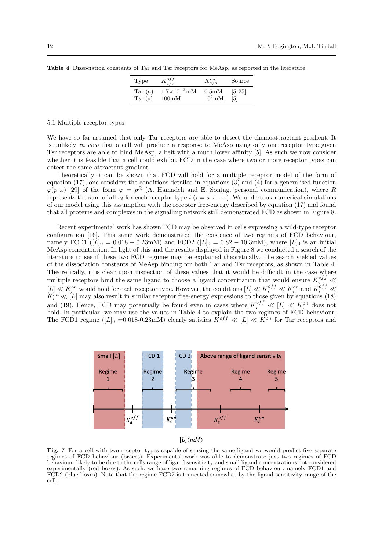| Type                    | $K_{a/s}^{off}$       | $K_{a/s}^{on}$     | Source  |
|-------------------------|-----------------------|--------------------|---------|
| Tar $(a)$               | $1.7\times10^{-3}$ mM | 0.5 <sub>m</sub> M | [5, 25] |
| $\operatorname{Tsr}(s)$ | $100\text{mM}$        | $10^6 \text{mM}$   | [5]     |

Table 4 Dissociation constants of Tar and Tsr receptors for MeAsp, as reported in the literature.

#### 5.1 Multiple receptor types

We have so far assumed that only Tar receptors are able to detect the chemoattractant gradient. It is unlikely in vivo that a cell will produce a response to MeAsp using only one receptor type given Tsr receptors are able to bind MeAsp, albeit with a much lower affinity [5]. As such we now consider whether it is feasible that a cell could exhibit FCD in the case where two or more receptor types can detect the same attractant gradient.

Theoretically it can be shown that FCD will hold for a multiple receptor model of the form of equation (17); one considers the conditions detailed in equations (3) and (4) for a generalised function  $\varphi(p,x)$  [29] of the form  $\varphi = p^R$  (A. Hamadeh and E. Sontag, personal communication), where R represents the sum of all  $\nu_i$  for each receptor type  $i$  ( $i = a, s, \ldots$ ). We undertook numerical simulations of our model using this assumption with the receptor free-energy described by equation (17) and found that all proteins and complexes in the signalling network still demonstrated FCD as shown in Figure 8.

Recent experimental work has shown FCD may be observed in cells expressing a wild-type receptor configuration [16]. This same work demonstrated the existence of two regimes of FCD behaviour, namely FCD1 ( $\overline{L}|_0 = 0.018 - 0.23$ mM) and FCD2 ( $\overline{L}|_0 = 0.82 - 10.3$ mM), where  $\overline{L}|_0$  is an initial MeAsp concentration. In light of this and the results displayed in Figure 8 we conducted a search of the literature to see if these two FCD regimes may be explained theoretically. The search yielded values of the dissociation constants of MeAsp binding for both Tar and Tsr receptors, as shown in Table 4. Theoretically, it is clear upon inspection of these values that it would be difficult in the case where multiple receptors bind the same ligand to choose a ligand concentration that would ensure  $K_i^{off}$   $\ll$  $[L] \ll K_i^{on}$  would hold for each receptor type. However, the conditions  $[L] \ll K_i^{off} \ll K_i^{on}$  and  $K_i^{off} \ll$  $K_i^{on} \ll [L]$  may also result in similar receptor free-energy expressions to those given by equations (18) and (19). Hence, FCD may potentially be found even in cases where  $K_i^{off} \ll [L] \ll K_i^{on}$  does not hold. In particular, we may use the values in Table 4 to explain the two regimes of FCD behaviour. The FCD1 regime ( $[L]_0 = 0.018-0.23$ mM) clearly satisfies  $K^{off} \ll [L] \ll K^{on}$  for Tar receptors and





Fig. 7 For a cell with two receptor types capable of sensing the same ligand we would predict five separate regimes of FCD behaviour (braces). Experimental work was able to demonstrate just two regimes of FCD behaviour, likely to be due to the cells range of ligand sensitivity and small ligand concentrations not considered experimentally (red boxes). As such, we have two remaining regimes of FCD behaviour, namely FCD1 and FCD2 (blue boxes). Note that the regime FCD2 is truncated somewhat by the ligand sensitivity range of the cell.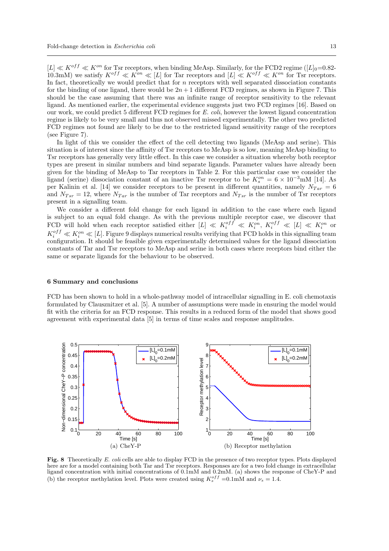$|L| \ll K^{off} \ll K^{on}$  for Tsr receptors, when binding MeAsp. Similarly, for the FCD2 regime  $(|L|_0=0.82-1)$ 10.3mM) we satisfy  $K^{off} \ll K^{on} \ll |L|$  for Tar receptors and  $|L| \ll K^{off} \ll K^{on}$  for Tsr receptors. In fact, theoretically we would predict that for  $n$  receptors with well separated dissociation constants for the binding of one ligand, there would be  $2n+1$  different FCD regimes, as shown in Figure 7. This should be the case assuming that there was an infinite range of receptor sensitivity to the relevant ligand. As mentioned earlier, the experimental evidence suggests just two FCD regimes [16]. Based on our work, we could predict 5 different FCD regimes for E. coli, however the lowest ligand concentration regime is likely to be very small and thus not observed missed experimentally. The other two predicted FCD regimes not found are likely to be due to the restricted ligand sensitivity range of the receptors (see Figure 7).

In light of this we consider the effect of the cell detecting two ligands (MeAsp and serine). This situation is of interest since the affinity of Tsr receptors to MeAsp is so low, meaning MeAsp binding to Tsr receptors has generally very little effect. In this case we consider a situation whereby both receptor types are present in similar numbers and bind separate ligands. Parameter values have already been given for the binding of MeAsp to Tar receptors in Table 2. For this particular case we consider the ligand (serine) dissociation constant of an inactive Tsr receptor to be  $K_s^{on} = 6 \times 10^{-3}$  mM [14]. As per Kalinin et al. [14] we consider receptors to be present in different quantities, namely  $N_{Tar} = 6$ and  $N_{Tsr} = 12$ , where  $N_{Tar}$  is the number of Tar receptors and  $N_{Tsr}$  is the number of Tsr receptors present in a signalling team.

We consider a different fold change for each ligand in addition to the case where each ligand is subject to an equal fold change. As with the previous multiple receptor case, we discover that FCD will hold when each receptor satisfied either  $[L] \ll K_i^{off} \ll K_i^{on}$ ,  $K_i^{off} \ll [L] \ll K_i^{on}$  or  $K_i^{off} \ll K_i^{on} \ll [L]$ . Figure 9 displays numerical results verifying that FCD holds in this signalling team configuration. It should be feasible given experimentally determined values for the ligand dissociation constants of Tar and Tsr receptors to MeAsp and serine in both cases where receptors bind either the same or separate ligands for the behaviour to be observed.

#### 6 Summary and conclusions

FCD has been shown to hold in a whole-pathway model of intracellular signalling in E. coli chemotaxis formulated by Clausznitzer et al. [5]. A number of assumptions were made in ensuring the model would fit with the criteria for an FCD response. This results in a reduced form of the model that shows good agreement with experimental data [5] in terms of time scales and response amplitudes.



Fig. 8 Theoretically E. coli cells are able to display FCD in the presence of two receptor types. Plots displayed here are for a model containing both Tar and Tsr receptors. Responses are for a two fold change in extracellular ligand concentration with initial concentrations of 0.1mM and 0.2mM. (a) shows the response of CheY-P and (b) the receptor methylation level. Plots were created using  $K_s^{off} = 0.1 \text{mM}$  and  $\nu_s = 1.4$ .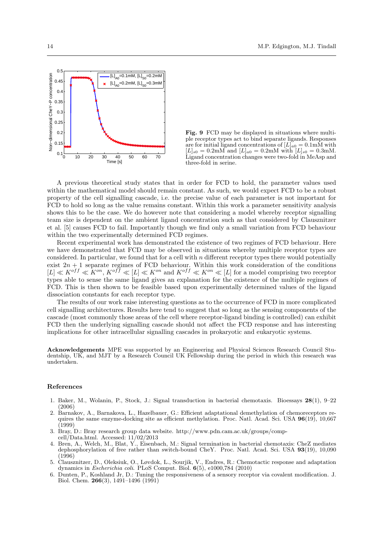

Fig. 9 FCD may be displayed in situations where multiple receptor types act to bind separate ligands. Responses are for initial ligand concentrations of  $[L]_{a0} = 0.1 \text{mM}$  with  $[L]_{s0} = 0.2 \text{mM}$  and  $[L]_{a0} = 0.2 \text{mM}$  with  $[L]_{s0} = 0.3 \text{mM}$ . Ligand concentration changes were two-fold in MeAsp and three-fold in serine.

A previous theoretical study states that in order for FCD to hold, the parameter values used within the mathematical model should remain constant. As such, we would expect FCD to be a robust property of the cell signalling cascade, i.e. the precise value of each parameter is not important for FCD to hold so long as the value remains constant. Within this work a parameter sensitivity analysis shows this to be the case. We do however note that considering a model whereby receptor signalling team size is dependent on the ambient ligand concentration such as that considered by Clausznitzer et al. [5] causes FCD to fail. Importantly though we find only a small variation from FCD behaviour within the two experimentally determined FCD regimes.

Recent experimental work has demonstrated the existence of two regimes of FCD behaviour. Here we have demonstrated that FCD may be observed in situations whereby multiple receptor types are considered. In particular, we found that for a cell with n different receptor types there would potentially exist  $2n + 1$  separate regimes of FCD behaviour. Within this work consideration of the conditions  $[L] \ll K^{off} \ll K^{on}, K^{off} \ll [L] \ll K^{on}$  and  $K^{off} \ll K^{on} \ll [L]$  for a model comprising two receptor types able to sense the same ligand gives an explanation for the existence of the multiple regimes of FCD. This is then shown to be feasible based upon experimentally determined values of the ligand dissociation constants for each receptor type.

The results of our work raise interesting questions as to the occurrence of FCD in more complicated cell signalling architectures. Results here tend to suggest that so long as the sensing components of the cascade (most commonly those areas of the cell where receptor-ligand binding is controlled) can exhibit FCD then the underlying signalling cascade should not affect the FCD response and has interesting implications for other intracellular signalling cascades in prokaryotic and eukaryotic systems.

Acknowledgements MPE was supported by an Engineering and Physical Sciences Research Council Studentship, UK, and MJT by a Research Council UK Fellowship during the period in which this research was undertaken.

#### References

- 1. Baker, M., Wolanin, P., Stock, J.: Signal transduction in bacterial chemotaxis. Bioessays 28(1), 9–22 (2006)
- 2. Barnakov, A., Barnakova, L., Hazelbauer, G.: Efficient adaptational demethylation of chemoreceptors requires the same enzyme-docking site as efficient methylation. Proc. Natl. Acad. Sci. USA 96(19), 10,667 (1999)
- 3. Bray, D.: Bray research group data website. http://www.pdn.cam.ac.uk/groups/compcell/Data.html. Accessed: 11/02/2013
- 4. Bren, A., Welch, M., Blat, Y., Eisenbach, M.: Signal termination in bacterial chemotaxis: CheZ mediates dephosphorylation of free rather than switch-bound CheY. Proc. Natl. Acad. Sci. USA 93(19), 10,090  $(1996)$
- 5. Clausznitzer, D., Oleksiuk, O., Løvdok, L., Sourjik, V., Endres, R.: Chemotactic response and adaptation dynamics in Escherichia coli. PLoS Comput. Biol. 6(5), e1000,784 (2010)
- 6. Dunten, P., Koshland Jr, D.: Tuning the responsiveness of a sensory receptor via covalent modification. J. Biol. Chem. 266(3), 1491–1496 (1991)